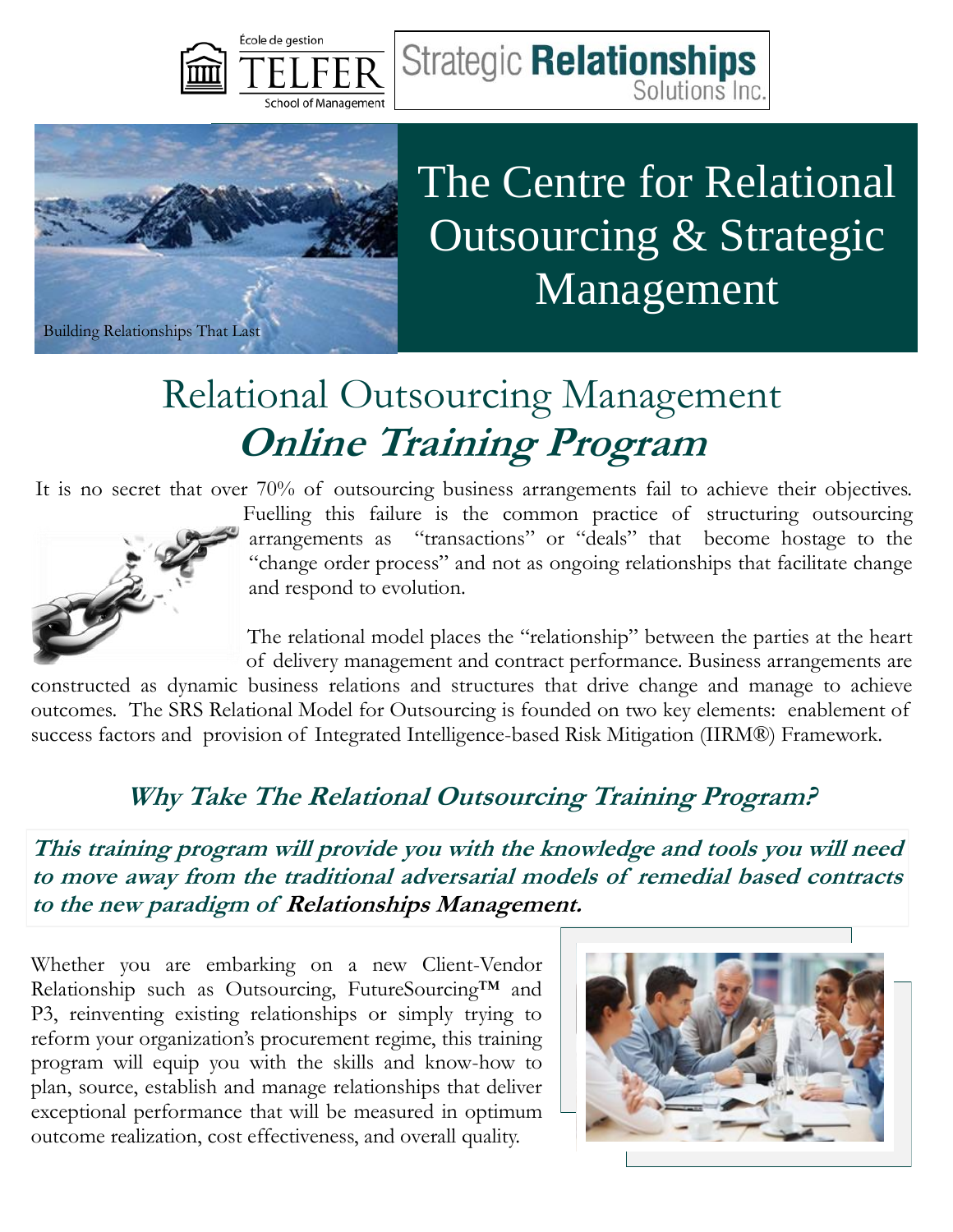



# The Centre for Relational Outsourcing & Strategic Management

Solutions Inc

## Relational Outsourcing Management **Online Training Program**

It is no secret that over 70% of outsourcing business arrangements fail to achieve their objectives.



Fuelling this failure is the common practice of structuring outsourcing arrangements as "transactions" or "deals" that become hostage to the "change order process" and not as ongoing relationships that facilitate change and respond to evolution.

**Strategic Relationships** 

The relational model places the "relationship" between the parties at the heart of delivery management and contract performance. Business arrangements are

constructed as dynamic business relations and structures that drive change and manage to achieve outcomes. The SRS Relational Model for Outsourcing is founded on two key elements: enablement of success factors and provision of Integrated Intelligence-based Risk Mitigation (IIRM®) Framework.

#### **Why Take The Relational Outsourcing Training Program?**

**This training program will provide you with the knowledge and tools you will need to move away from the traditional adversarial models of remedial based contracts to the new paradigm of Relationships Management.** 

Whether you are embarking on a new Client-Vendor Relationship such as Outsourcing, FutureSourcing™ and P3, reinventing existing relationships or simply trying to reform your organization's procurement regime, this training program will equip you with the skills and know-how to plan, source, establish and manage relationships that deliver exceptional performance that will be measured in optimum outcome realization, cost effectiveness, and overall quality.

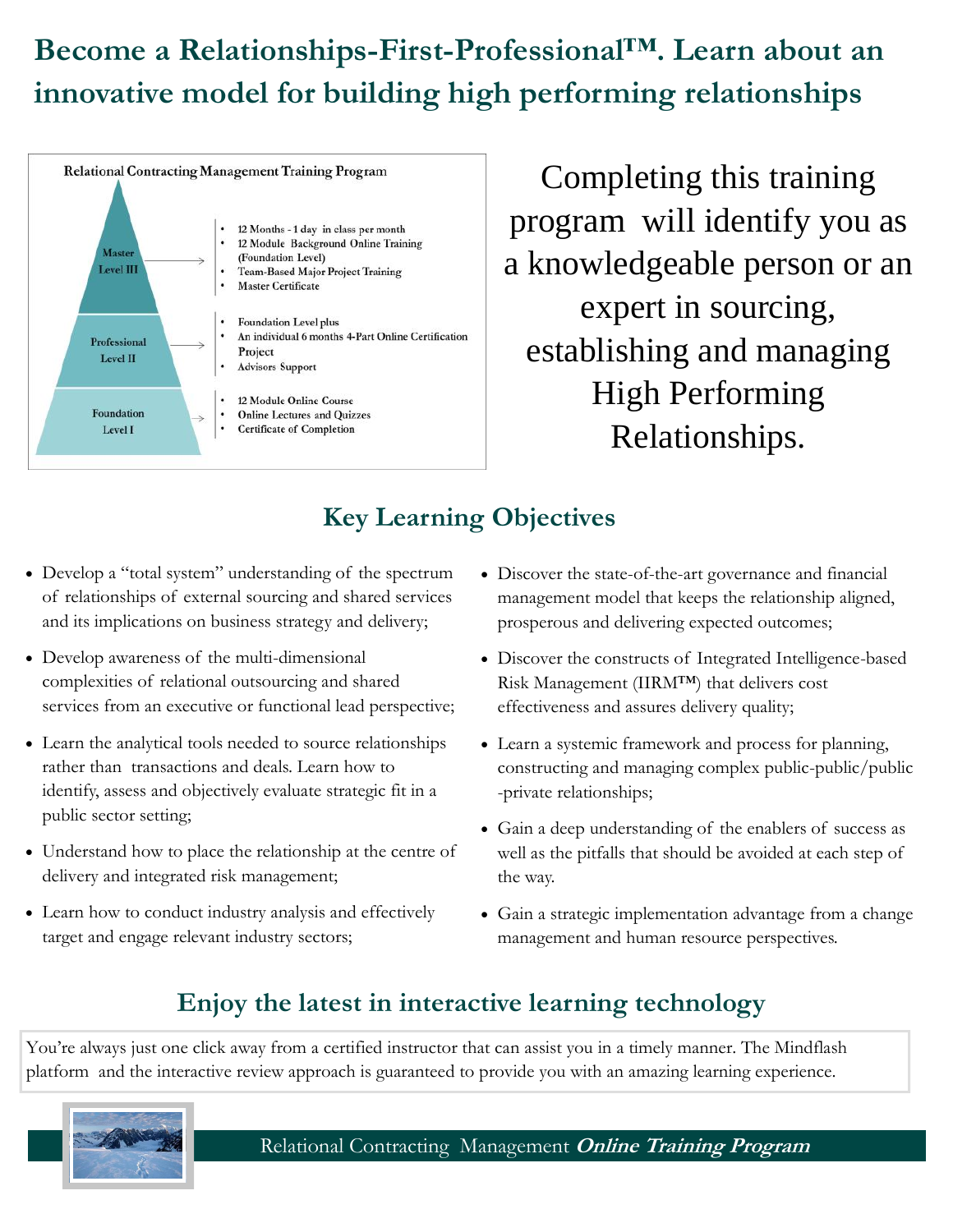### **Become a Relationships-First-Professional™. Learn about an innovative model for building high performing relationships**



Completing this training program will identify you as a knowledgeable person or an expert in sourcing, establishing and managing High Performing Relationships.

#### **Key Learning Objectives**

- Develop a "total system" understanding of the spectrum of relationships of external sourcing and shared services and its implications on business strategy and delivery;
- Develop awareness of the multi-dimensional complexities of relational outsourcing and shared services from an executive or functional lead perspective;
- Learn the analytical tools needed to source relationships rather than transactions and deals. Learn how to identify, assess and objectively evaluate strategic fit in a public sector setting;
- Understand how to place the relationship at the centre of delivery and integrated risk management;
- Learn how to conduct industry analysis and effectively target and engage relevant industry sectors;
- Discover the state-of-the-art governance and financial management model that keeps the relationship aligned, prosperous and delivering expected outcomes;
- Discover the constructs of Integrated Intelligence-based Risk Management (IIRM™) that delivers cost effectiveness and assures delivery quality;
- Learn a systemic framework and process for planning, constructing and managing complex public-public/public -private relationships;
- Gain a deep understanding of the enablers of success as well as the pitfalls that should be avoided at each step of the way.
- Gain a strategic implementation advantage from a change management and human resource perspectives.

#### **Enjoy the latest in interactive learning technology**

You're always just one click away from a certified instructor that can assist you in a timely manner. The Mindflash platform and the interactive review approach is guaranteed to provide you with an amazing learning experience.



Relational Contracting Management **Online Training Program**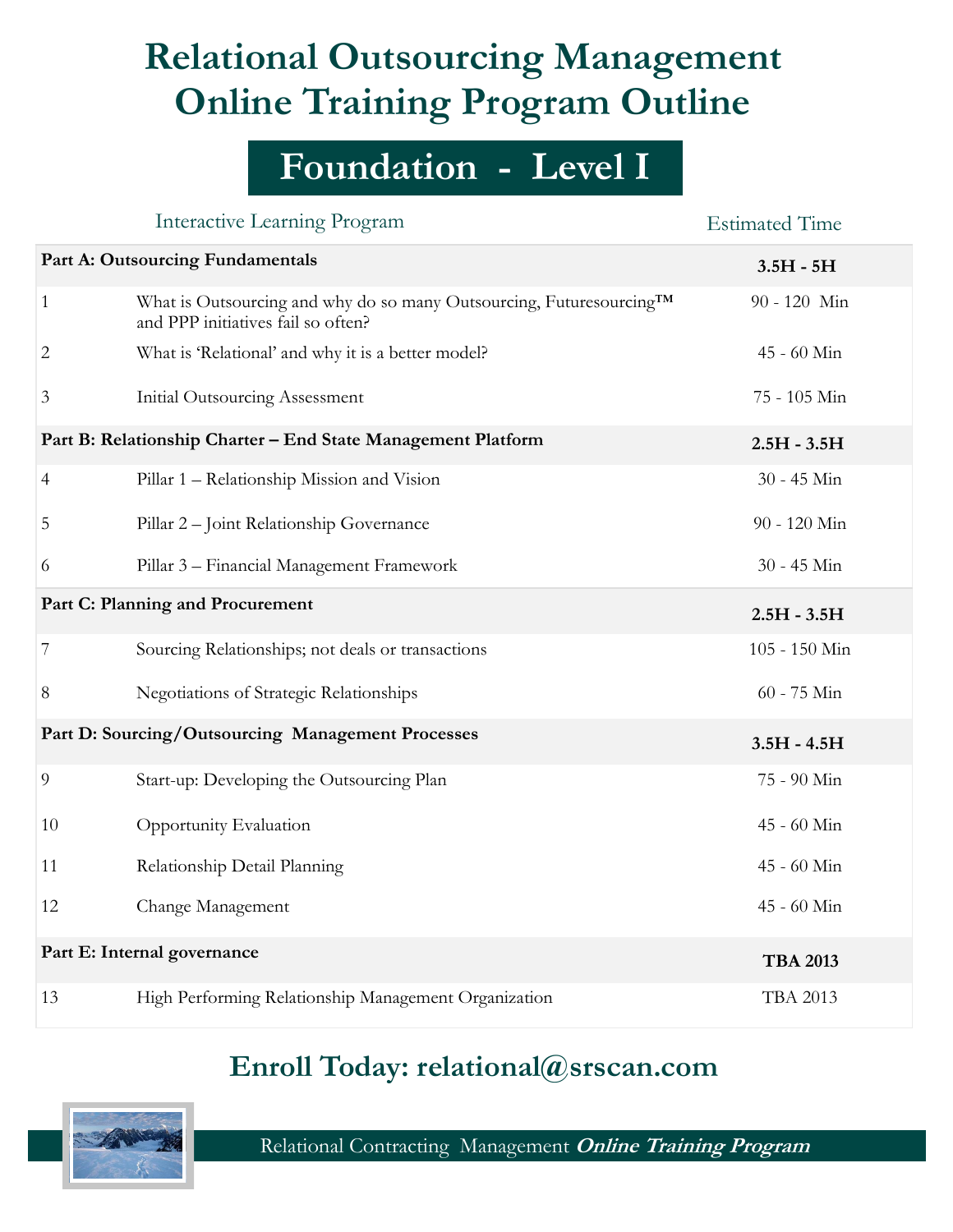## **Relational Outsourcing Management Online Training Program Outline**

## **Foundation - Level I**

|                                                              | <b>Interactive Learning Program</b>                                                                                    | <b>Estimated Time</b> |
|--------------------------------------------------------------|------------------------------------------------------------------------------------------------------------------------|-----------------------|
| Part A: Outsourcing Fundamentals                             |                                                                                                                        | $3.5H - 5H$           |
| 1                                                            | What is Outsourcing and why do so many Outsourcing, Futuresourcing <sup>TM</sup><br>and PPP initiatives fail so often? | 90 - 120 Min          |
| 2                                                            | What is 'Relational' and why it is a better model?                                                                     | 45 - 60 Min           |
| 3                                                            | <b>Initial Outsourcing Assessment</b>                                                                                  | 75 - 105 Min          |
| Part B: Relationship Charter - End State Management Platform |                                                                                                                        | $2.5H - 3.5H$         |
| 4                                                            | Pillar 1 - Relationship Mission and Vision                                                                             | 30 - 45 Min           |
| 5                                                            | Pillar 2 - Joint Relationship Governance                                                                               | 90 - 120 Min          |
| 6                                                            | Pillar 3 - Financial Management Framework                                                                              | 30 - 45 Min           |
| Part C: Planning and Procurement                             |                                                                                                                        | $2.5H - 3.5H$         |
| 7                                                            | Sourcing Relationships; not deals or transactions                                                                      | 105 - 150 Min         |
| 8                                                            | Negotiations of Strategic Relationships                                                                                | $60 - 75$ Min         |
| Part D: Sourcing/Outsourcing Management Processes            |                                                                                                                        | $3.5H - 4.5H$         |
| 9                                                            | Start-up: Developing the Outsourcing Plan                                                                              | 75 - 90 Min           |
| 10                                                           | Opportunity Evaluation                                                                                                 | 45 - 60 Min           |
| 11                                                           | Relationship Detail Planning                                                                                           | 45 - 60 Min           |
| 12                                                           | Change Management                                                                                                      | 45 - 60 Min           |
| Part E: Internal governance                                  |                                                                                                                        | <b>TBA 2013</b>       |
| 13                                                           | High Performing Relationship Management Organization                                                                   | <b>TBA 2013</b>       |

#### **Enroll Today: relational@srscan.com**



Relational Contracting Management **Online Training Program**